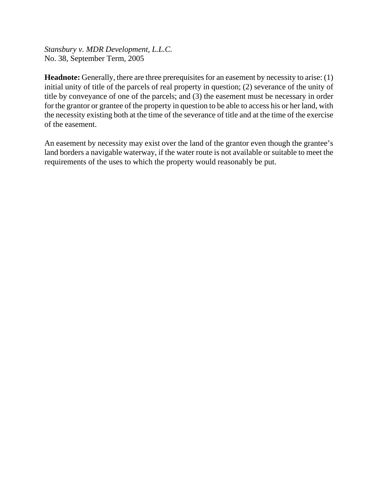*Stansbury v. MDR Development, L.L.C.* No. 38, September Term, 2005

**Headnote:** Generally, there are three prerequisites for an easement by necessity to arise: (1) initial unity of title of the parcels of real property in question; (2) severance of the unity of title by conveyance of one of the parcels; and (3) the easement must be necessary in order for the grantor or grantee of the property in question to be able to access his or her land, with the necessity existing both at the time of the severance of title and at the time of the exercise of the easement.

An easement by necessity may exist over the land of the grantor even though the grantee's land borders a navigable waterway, if the water route is not available or suitable to meet the requirements of the uses to which the property would reasonably be put.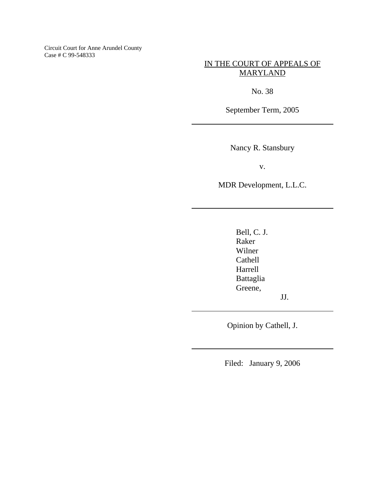Circuit Court for Anne Arundel County Case # C 99-548333

IN THE COURT OF APPEALS OF MARYLAND

No. 38

September Term, 2005

Nancy R. Stansbury

v.

MDR Development, L.L.C.

Bell, C. J. Raker Wilner Cathell Harrell Battaglia Greene,

JJ.

Opinion by Cathell, J.

Filed: January 9, 2006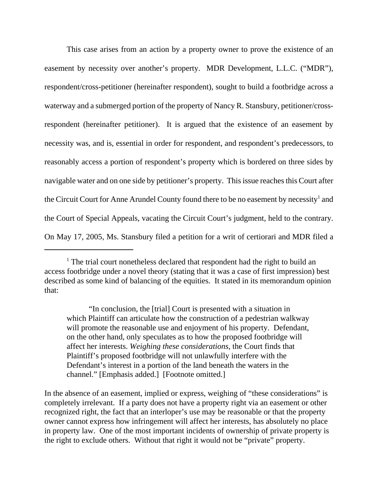This case arises from an action by a property owner to prove the existence of an easement by necessity over another's property. MDR Development, L.L.C. ("MDR"), respondent/cross-petitioner (hereinafter respondent), sought to build a footbridge across a waterway and a submerged portion of the property of Nancy R. Stansbury, petitioner/crossrespondent (hereinafter petitioner). It is argued that the existence of an easement by necessity was, and is, essential in order for respondent, and respondent's predecessors, to reasonably access a portion of respondent's property which is bordered on three sides by navigable water and on one side by petitioner's property. This issue reaches this Court after the Circuit Court for Anne Arundel County found there to be no easement by necessity<sup>1</sup> and the Court of Special Appeals, vacating the Circuit Court's judgment, held to the contrary. On May 17, 2005, Ms. Stansbury filed a petition for a writ of certiorari and MDR filed a

<sup>&</sup>lt;sup>1</sup> The trial court nonetheless declared that respondent had the right to build an access footbridge under a novel theory (stating that it was a case of first impression) best described as some kind of balancing of the equities. It stated in its memorandum opinion that:

<sup>&</sup>quot;In conclusion, the [trial] Court is presented with a situation in which Plaintiff can articulate how the construction of a pedestrian walkway will promote the reasonable use and enjoyment of his property. Defendant, on the other hand, only speculates as to how the proposed footbridge will affect her interests. *Weighing these considerations*, the Court finds that Plaintiff's proposed footbridge will not unlawfully interfere with the Defendant's interest in a portion of the land beneath the waters in the channel." [Emphasis added.] [Footnote omitted.]

In the absence of an easement, implied or express, weighing of "these considerations" is completely irrelevant. If a party does not have a property right via an easement or other recognized right, the fact that an interloper's use may be reasonable or that the property owner cannot express how infringement will affect her interests, has absolutely no place in property law. One of the most important incidents of ownership of private property is the right to exclude others. Without that right it would not be "private" property.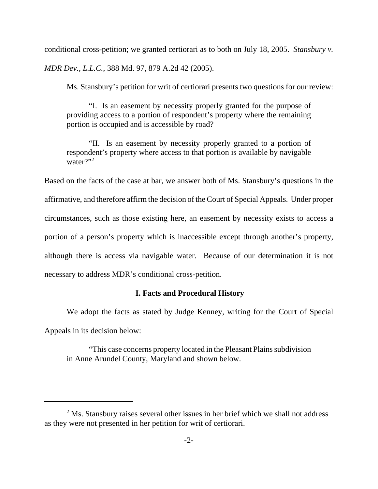conditional cross-petition; we granted certiorari as to both on July 18, 2005. *Stansbury v. MDR Dev., L.L.C.*, 388 Md. 97, 879 A.2d 42 (2005).

Ms. Stansbury's petition for writ of certiorari presents two questions for our review:

"I. Is an easement by necessity properly granted for the purpose of providing access to a portion of respondent's property where the remaining portion is occupied and is accessible by road?

"II. Is an easement by necessity properly granted to a portion of respondent's property where access to that portion is available by navigable water $\gamma$ <sup>2</sup>

Based on the facts of the case at bar, we answer both of Ms. Stansbury's questions in the affirmative, and therefore affirm the decision of the Court of Special Appeals. Under proper circumstances, such as those existing here, an easement by necessity exists to access a portion of a person's property which is inaccessible except through another's property, although there is access via navigable water. Because of our determination it is not necessary to address MDR's conditional cross-petition.

## **I. Facts and Procedural History**

We adopt the facts as stated by Judge Kenney, writing for the Court of Special Appeals in its decision below:

"This case concerns property located in the Pleasant Plains subdivision in Anne Arundel County, Maryland and shown below.

 $2^2$  Ms. Stansbury raises several other issues in her brief which we shall not address as they were not presented in her petition for writ of certiorari.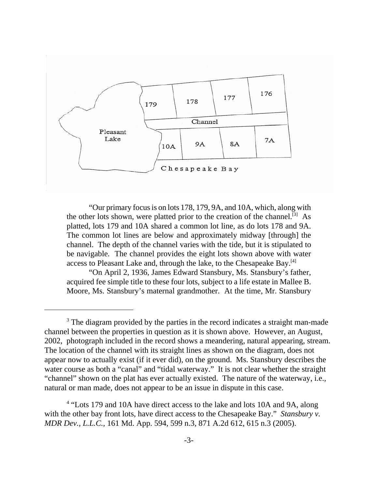

"Our primary focus is on lots 178, 179, 9A, and 10A, which, along with the other lots shown, were platted prior to the creation of the channel.<sup>[3]</sup> As platted, lots 179 and 10A shared a common lot line, as do lots 178 and 9A. The common lot lines are below and approximately midway [through] the channel. The depth of the channel varies with the tide, but it is stipulated to be navigable. The channel provides the eight lots shown above with water access to Pleasant Lake and, through the lake, to the Chesapeake Bay.<sup>[4]</sup>

"On April 2, 1936, James Edward Stansbury, Ms. Stansbury's father, acquired fee simple title to these four lots, subject to a life estate in Mallee B. Moore, Ms. Stansbury's maternal grandmother. At the time, Mr. Stansbury

<sup>&</sup>lt;sup>3</sup> The diagram provided by the parties in the record indicates a straight man-made channel between the properties in question as it is shown above. However, an August, 2002, photograph included in the record shows a meandering, natural appearing, stream. The location of the channel with its straight lines as shown on the diagram, does not appear now to actually exist (if it ever did), on the ground. Ms. Stansbury describes the water course as both a "canal" and "tidal waterway." It is not clear whether the straight "channel" shown on the plat has ever actually existed. The nature of the waterway, i.e., natural or man made, does not appear to be an issue in dispute in this case.

<sup>&</sup>lt;sup>4</sup> "Lots 179 and 10A have direct access to the lake and lots 10A and 9A, along with the other bay front lots, have direct access to the Chesapeake Bay." *Stansbury v. MDR Dev., L.L.C.*, 161 Md. App. 594, 599 n.3, 871 A.2d 612, 615 n.3 (2005).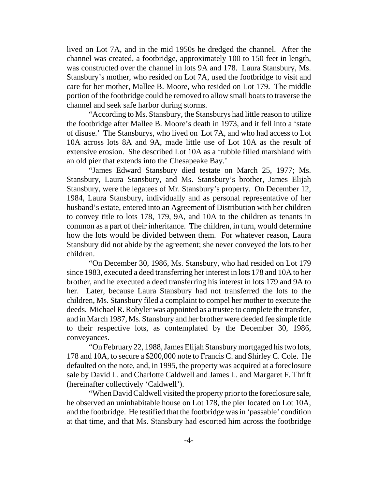lived on Lot 7A, and in the mid 1950s he dredged the channel. After the channel was created, a footbridge, approximately 100 to 150 feet in length, was constructed over the channel in lots 9A and 178. Laura Stansbury, Ms. Stansbury's mother, who resided on Lot 7A, used the footbridge to visit and care for her mother, Mallee B. Moore, who resided on Lot 179. The middle portion of the footbridge could be removed to allow small boats to traverse the channel and seek safe harbor during storms.

"According to Ms. Stansbury, the Stansburys had little reason to utilize the footbridge after Mallee B. Moore's death in 1973, and it fell into a 'state of disuse.' The Stansburys, who lived on Lot 7A, and who had access to Lot 10A across lots 8A and 9A, made little use of Lot 10A as the result of extensive erosion. She described Lot 10A as a 'rubble filled marshland with an old pier that extends into the Chesapeake Bay.'

"James Edward Stansbury died testate on March 25, 1977; Ms. Stansbury, Laura Stansbury, and Ms. Stansbury's brother, James Elijah Stansbury, were the legatees of Mr. Stansbury's property. On December 12, 1984, Laura Stansbury, individually and as personal representative of her husband's estate, entered into an Agreement of Distribution with her children to convey title to lots 178, 179, 9A, and 10A to the children as tenants in common as a part of their inheritance. The children, in turn, would determine how the lots would be divided between them. For whatever reason, Laura Stansbury did not abide by the agreement; she never conveyed the lots to her children.

"On December 30, 1986, Ms. Stansbury, who had resided on Lot 179 since 1983, executed a deed transferring her interest in lots 178 and 10A to her brother, and he executed a deed transferring his interest in lots 179 and 9A to her. Later, because Laura Stansbury had not transferred the lots to the children, Ms. Stansbury filed a complaint to compel her mother to execute the deeds. Michael R. Robyler was appointed as a trustee to complete the transfer, and in March 1987, Ms. Stansbury and her brother were deeded fee simple title to their respective lots, as contemplated by the December 30, 1986, conveyances.

"On February 22, 1988, James Elijah Stansbury mortgaged his two lots, 178 and 10A, to secure a \$200,000 note to Francis C. and Shirley C. Cole. He defaulted on the note, and, in 1995, the property was acquired at a foreclosure sale by David L. and Charlotte Caldwell and James L. and Margaret F. Thrift (hereinafter collectively 'Caldwell').

"When David Caldwell visited the property prior to the foreclosure sale, he observed an uninhabitable house on Lot 178, the pier located on Lot 10A, and the footbridge. He testified that the footbridge was in 'passable' condition at that time, and that Ms. Stansbury had escorted him across the footbridge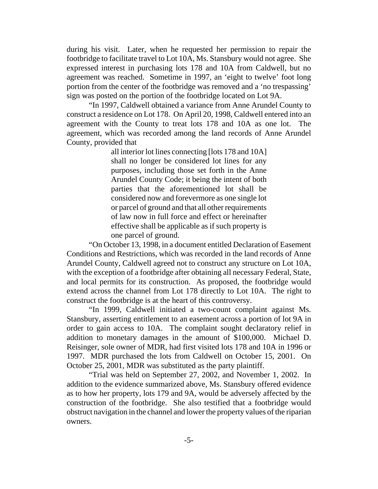during his visit. Later, when he requested her permission to repair the footbridge to facilitate travel to Lot 10A, Ms. Stansbury would not agree. She expressed interest in purchasing lots 178 and 10A from Caldwell, but no agreement was reached. Sometime in 1997, an 'eight to twelve' foot long portion from the center of the footbridge was removed and a 'no trespassing' sign was posted on the portion of the footbridge located on Lot 9A.

"In 1997, Caldwell obtained a variance from Anne Arundel County to construct a residence on Lot 178. On April 20, 1998, Caldwell entered into an agreement with the County to treat lots 178 and 10A as one lot. The agreement, which was recorded among the land records of Anne Arundel County, provided that

> all interior lot lines connecting [lots 178 and 10A] shall no longer be considered lot lines for any purposes, including those set forth in the Anne Arundel County Code; it being the intent of both parties that the aforementioned lot shall be considered now and forevermore as one single lot or parcel of ground and that all other requirements of law now in full force and effect or hereinafter effective shall be applicable as if such property is one parcel of ground.

"On October 13, 1998, in a document entitled Declaration of Easement Conditions and Restrictions, which was recorded in the land records of Anne Arundel County, Caldwell agreed not to construct any structure on Lot 10A, with the exception of a footbridge after obtaining all necessary Federal, State, and local permits for its construction. As proposed, the footbridge would extend across the channel from Lot 178 directly to Lot 10A. The right to construct the footbridge is at the heart of this controversy.

"In 1999, Caldwell initiated a two-count complaint against Ms. Stansbury, asserting entitlement to an easement across a portion of lot 9A in order to gain access to 10A. The complaint sought declaratory relief in addition to monetary damages in the amount of \$100,000. Michael D. Reisinger, sole owner of MDR, had first visited lots 178 and 10A in 1996 or 1997. MDR purchased the lots from Caldwell on October 15, 2001. On October 25, 2001, MDR was substituted as the party plaintiff.

"Trial was held on September 27, 2002, and November 1, 2002. In addition to the evidence summarized above, Ms. Stansbury offered evidence as to how her property, lots 179 and 9A, would be adversely affected by the construction of the footbridge. She also testified that a footbridge would obstruct navigation in the channel and lower the property values of the riparian owners.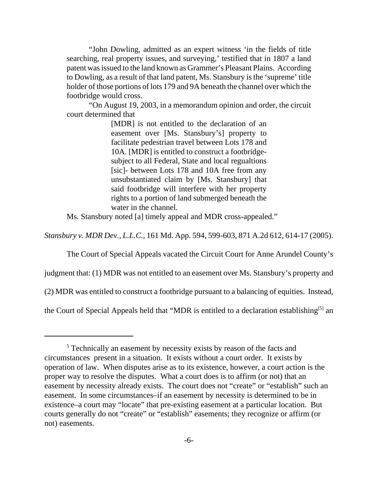"John Dowling, admitted as an expert witness 'in the fields of title searching, real property issues, and surveying,' testified that in 1807 a land patent was issued to the land known as Grammer's Pleasant Plains. According to Dowling, as a result of that land patent, Ms. Stansbury is the 'supreme' title holder of those portions of lots 179 and 9A beneath the channel over which the footbridge would cross.

"On August 19, 2003, in a memorandum opinion and order, the circuit court determined that

> [MDR] is not entitled to the declaration of an easement over [Ms. Stansbury's] property to facilitate pedestrian travel between Lots 178 and 10A. [MDR] is entitled to construct a footbridgesubject to all Federal, State and local regualtions [sic]- between Lots 178 and 10A free from any unsubstantiated claim by [Ms. Stansbury] that said footbridge will interfere with her property rights to a portion of land submerged beneath the water in the channel.

Ms. Stansbury noted [a] timely appeal and MDR cross-appealed."

*Stansbury v. MDR Dev., L.L.C.*, 161 Md. App. 594, 599-603, 871 A.2d 612, 614-17 (2005).

The Court of Special Appeals vacated the Circuit Court for Anne Arundel County's

judgment that: (1) MDR was not entitled to an easement over Ms. Stansbury's property and

(2) MDR was entitled to construct a footbridge pursuant to a balancing of equities. Instead,

the Court of Special Appeals held that "MDR is entitled to a declaration establishing<sup>[5]</sup> an

<sup>&</sup>lt;sup>5</sup> Technically an easement by necessity exists by reason of the facts and circumstances present in a situation. It exists without a court order. It exists by operation of law. When disputes arise as to its existence, however, a court action is the proper way to resolve the disputes. What a court does is to affirm (or not) that an easement by necessity already exists. The court does not "create" or "establish" such an easement. In some circumstances–if an easement by necessity is determined to be in existence–a court may "locate" that pre-existing easement at a particular location. But courts generally do not "create" or "establish" easements; they recognize or affirm (or not) easements.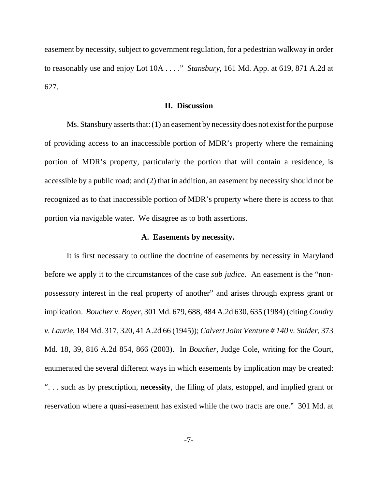easement by necessity, subject to government regulation, for a pedestrian walkway in order to reasonably use and enjoy Lot 10A . . . ." *Stansbury*, 161 Md. App. at 619, 871 A.2d at 627.

## **II. Discussion**

Ms. Stansbury asserts that: (1) an easement by necessity does not exist for the purpose of providing access to an inaccessible portion of MDR's property where the remaining portion of MDR's property, particularly the portion that will contain a residence, is accessible by a public road; and (2) that in addition, an easement by necessity should not be recognized as to that inaccessible portion of MDR's property where there is access to that portion via navigable water. We disagree as to both assertions.

#### **A. Easements by necessity.**

It is first necessary to outline the doctrine of easements by necessity in Maryland before we apply it to the circumstances of the case *sub judice*. An easement is the "nonpossessory interest in the real property of another" and arises through express grant or implication. *Boucher v. Boyer*, 301 Md. 679, 688, 484 A.2d 630, 635 (1984) (citing *Condry v. Laurie*, 184 Md. 317, 320, 41 A.2d 66 (1945)); *Calvert Joint Venture # 140 v. Snider*, 373 Md. 18, 39, 816 A.2d 854, 866 (2003). In *Boucher,* Judge Cole, writing for the Court, enumerated the several different ways in which easements by implication may be created: ". . . such as by prescription, **necessity**, the filing of plats, estoppel, and implied grant or reservation where a quasi-easement has existed while the two tracts are one." 301 Md. at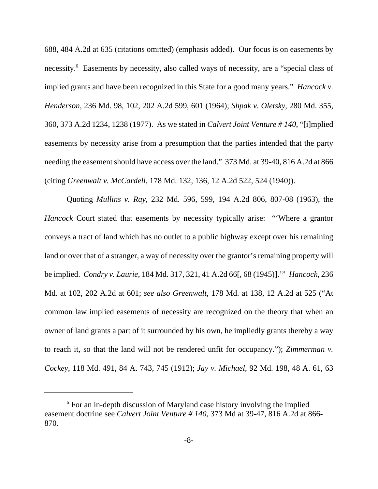688, 484 A.2d at 635 (citations omitted) (emphasis added). Our focus is on easements by necessity.<sup>6</sup> Easements by necessity, also called ways of necessity, are a "special class of implied grants and have been recognized in this State for a good many years." *Hancock v. Henderson*, 236 Md. 98, 102, 202 A.2d 599, 601 (1964); *Shpak v. Oletsky*, 280 Md. 355, 360, 373 A.2d 1234, 1238 (1977). As we stated in *Calvert Joint Venture # 140*, "[i]mplied easements by necessity arise from a presumption that the parties intended that the party needing the easement should have access over the land." 373 Md. at 39-40, 816 A.2d at 866 (citing *Greenwalt v. McCardell*, 178 Md. 132, 136, 12 A.2d 522, 524 (1940)).

Quoting *Mullins v. Ray*, 232 Md. 596, 599, 194 A.2d 806, 807-08 (1963), the *Hancock* Court stated that easements by necessity typically arise: "'Where a grantor conveys a tract of land which has no outlet to a public highway except over his remaining land or over that of a stranger, a way of necessity over the grantor's remaining property will be implied. *Condry v. Laurie*, 184 Md. 317, 321, 41 A.2d 66[, 68 (1945)].'" *Hancock*, 236 Md. at 102, 202 A.2d at 601; *see also Greenwalt*, 178 Md. at 138, 12 A.2d at 525 ("At common law implied easements of necessity are recognized on the theory that when an owner of land grants a part of it surrounded by his own, he impliedly grants thereby a way to reach it, so that the land will not be rendered unfit for occupancy."); *Zimmerman v. Cockey*, 118 Md. 491, 84 A. 743, 745 (1912); *Jay v. Michael*, 92 Md. 198, 48 A. 61, 63

<sup>&</sup>lt;sup>6</sup> For an in-depth discussion of Maryland case history involving the implied easement doctrine see *Calvert Joint Venture # 140*, 373 Md at 39-47, 816 A.2d at 866- 870.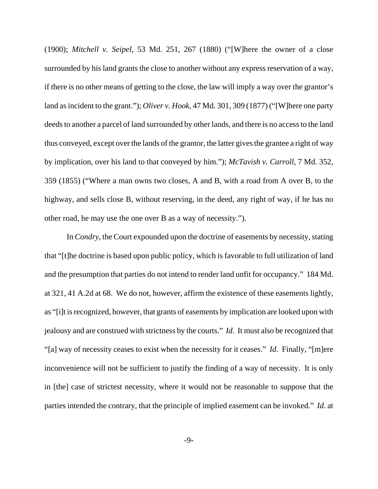(1900); *Mitchell v. Seipel*, 53 Md. 251, 267 (1880) ("[W]here the owner of a close surrounded by his land grants the close to another without any express reservation of a way, if there is no other means of getting to the close, the law will imply a way over the grantor's land as incident to the grant."); *Oliver v. Hook*, 47 Md. 301, 309 (1877) ("[W]here one party deeds to another a parcel of land surrounded by other lands, and there is no access to the land thus conveyed, except over the lands of the grantor, the latter gives the grantee a right of way by implication, over his land to that conveyed by him."); *McTavish v. Carroll*, 7 Md. 352, 359 (1855) ("Where a man owns two closes, A and B, with a road from A over B, to the highway, and sells close B, without reserving, in the deed, any right of way, if he has no other road, he may use the one over B as a way of necessity.").

In *Condry,* the Court expounded upon the doctrine of easements by necessity, stating that "[t]he doctrine is based upon public policy, which is favorable to full utilization of land and the presumption that parties do not intend to render land unfit for occupancy." 184 Md. at 321, 41 A.2d at 68. We do not, however, affirm the existence of these easements lightly, as "[i]t is recognized, however, that grants of easements by implication are looked upon with jealousy and are construed with strictness by the courts." *Id*. It must also be recognized that "[a] way of necessity ceases to exist when the necessity for it ceases." *Id*. Finally, "[m]ere inconvenience will not be sufficient to justify the finding of a way of necessity. It is only in [the] case of strictest necessity, where it would not be reasonable to suppose that the parties intended the contrary, that the principle of implied easement can be invoked." *Id*. at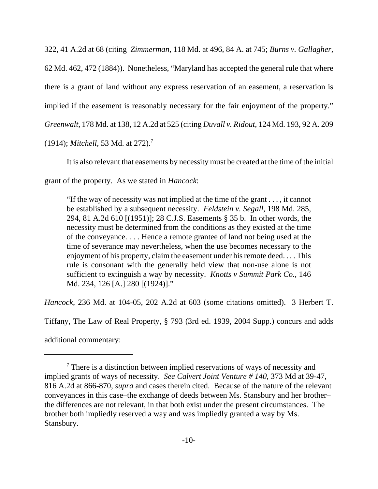322, 41 A.2d at 68 (citing *Zimmerman*, 118 Md. at 496, 84 A. at 745; *Burns v. Gallagher*, 62 Md. 462, 472 (1884)). Nonetheless, "Maryland has accepted the general rule that where there is a grant of land without any express reservation of an easement, a reservation is implied if the easement is reasonably necessary for the fair enjoyment of the property." *Greenwalt*, 178 Md. at 138, 12 A.2d at 525 (citing *Duvall v. Ridout*, 124 Md. 193, 92 A. 209 (1914); *Mitchell*, 53 Md. at 272).7

It is also relevant that easements by necessity must be created at the time of the initial

grant of the property. As we stated in *Hancock*:

"If the way of necessity was not implied at the time of the grant . . . , it cannot be established by a subsequent necessity. *Feldstein v. Segall*, 198 Md. 285, 294, 81 A.2d 610 [(1951)]; 28 C.J.S. Easements § 35 b. In other words, the necessity must be determined from the conditions as they existed at the time of the conveyance. . . . Hence a remote grantee of land not being used at the time of severance may nevertheless, when the use becomes necessary to the enjoyment of his property, claim the easement under his remote deed. . . . This rule is consonant with the generally held view that non-use alone is not sufficient to extinguish a way by necessity. *Knotts v Summit Park Co.*, 146 Md. 234, 126 [A.] 280 [(1924)]."

*Hancock*, 236 Md. at 104-05, 202 A.2d at 603 (some citations omitted). 3 Herbert T.

Tiffany, The Law of Real Property, § 793 (3rd ed. 1939, 2004 Supp.) concurs and adds

additional commentary:

 $7$  There is a distinction between implied reservations of ways of necessity and implied grants of ways of necessity. *See Calvert Joint Venture # 140*, 373 Md at 39-47, 816 A.2d at 866-870, *supra* and cases therein cited. Because of the nature of the relevant conveyances in this case–the exchange of deeds between Ms. Stansbury and her brother– the differences are not relevant, in that both exist under the present circumstances. The brother both impliedly reserved a way and was impliedly granted a way by Ms. Stansbury.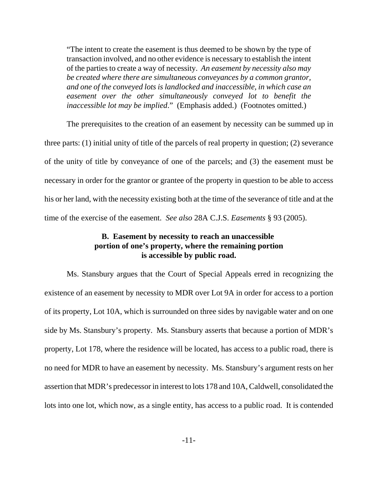"The intent to create the easement is thus deemed to be shown by the type of transaction involved, and no other evidence is necessary to establish the intent of the parties to create a way of necessity. *An easement by necessity also may be created where there are simultaneous conveyances by a common grantor, and one of the conveyed lots is landlocked and inaccessible, in which case an easement over the other simultaneously conveyed lot to benefit the inaccessible lot may be implied*." (Emphasis added.) (Footnotes omitted.)

The prerequisites to the creation of an easement by necessity can be summed up in three parts: (1) initial unity of title of the parcels of real property in question; (2) severance of the unity of title by conveyance of one of the parcels; and (3) the easement must be necessary in order for the grantor or grantee of the property in question to be able to access his or her land, with the necessity existing both at the time of the severance of title and at the time of the exercise of the easement. *See also* 28A C.J.S. *Easements* § 93 (2005).

# **B. Easement by necessity to reach an unaccessible portion of one's property, where the remaining portion is accessible by public road.**

Ms. Stansbury argues that the Court of Special Appeals erred in recognizing the existence of an easement by necessity to MDR over Lot 9A in order for access to a portion of its property, Lot 10A, which is surrounded on three sides by navigable water and on one side by Ms. Stansbury's property. Ms. Stansbury asserts that because a portion of MDR's property, Lot 178, where the residence will be located, has access to a public road, there is no need for MDR to have an easement by necessity. Ms. Stansbury's argument rests on her assertion that MDR's predecessor in interest to lots 178 and 10A, Caldwell, consolidated the lots into one lot, which now, as a single entity, has access to a public road. It is contended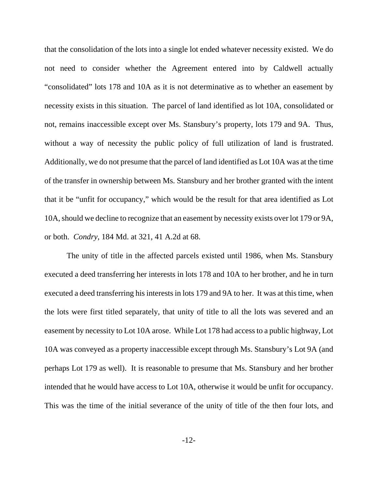that the consolidation of the lots into a single lot ended whatever necessity existed. We do not need to consider whether the Agreement entered into by Caldwell actually "consolidated" lots 178 and 10A as it is not determinative as to whether an easement by necessity exists in this situation. The parcel of land identified as lot 10A, consolidated or not, remains inaccessible except over Ms. Stansbury's property, lots 179 and 9A. Thus, without a way of necessity the public policy of full utilization of land is frustrated. Additionally, we do not presume that the parcel of land identified as Lot 10A was at the time of the transfer in ownership between Ms. Stansbury and her brother granted with the intent that it be "unfit for occupancy," which would be the result for that area identified as Lot 10A, should we decline to recognize that an easement by necessity exists over lot 179 or 9A, or both. *Condry*, 184 Md. at 321, 41 A.2d at 68.

The unity of title in the affected parcels existed until 1986, when Ms. Stansbury executed a deed transferring her interests in lots 178 and 10A to her brother, and he in turn executed a deed transferring his interests in lots 179 and 9A to her. It was at this time, when the lots were first titled separately, that unity of title to all the lots was severed and an easement by necessity to Lot 10A arose. While Lot 178 had access to a public highway, Lot 10A was conveyed as a property inaccessible except through Ms. Stansbury's Lot 9A (and perhaps Lot 179 as well). It is reasonable to presume that Ms. Stansbury and her brother intended that he would have access to Lot 10A, otherwise it would be unfit for occupancy. This was the time of the initial severance of the unity of title of the then four lots, and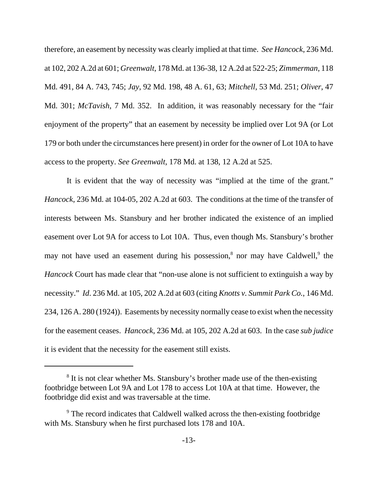therefore, an easement by necessity was clearly implied at that time. *See Hancock*, 236 Md. at 102, 202 A.2d at 601; *Greenwalt*, 178 Md. at 136-38, 12 A.2d at 522-25; *Zimmerman*, 118 Md. 491, 84 A. 743, 745; *Jay*, 92 Md. 198, 48 A. 61, 63; *Mitchell*, 53 Md. 251; *Oliver*, 47 Md. 301; *McTavish*, 7 Md. 352. In addition, it was reasonably necessary for the "fair enjoyment of the property" that an easement by necessity be implied over Lot 9A (or Lot 179 or both under the circumstances here present) in order for the owner of Lot 10A to have access to the property. *See Greenwalt*, 178 Md. at 138, 12 A.2d at 525.

It is evident that the way of necessity was "implied at the time of the grant." *Hancock*, 236 Md. at 104-05, 202 A.2d at 603. The conditions at the time of the transfer of interests between Ms. Stansbury and her brother indicated the existence of an implied easement over Lot 9A for access to Lot 10A. Thus, even though Ms. Stansbury's brother may not have used an easement during his possession,<sup>8</sup> nor may have Caldwell,<sup>9</sup> the *Hancock* Court has made clear that "non-use alone is not sufficient to extinguish a way by necessity." *Id*. 236 Md. at 105, 202 A.2d at 603 (citing *Knotts v. Summit Park Co.*, 146 Md. 234, 126 A. 280 (1924)). Easements by necessity normally cease to exist when the necessity for the easement ceases. *Hancock*, 236 Md. at 105, 202 A.2d at 603. In the case *sub judice* it is evident that the necessity for the easement still exists.

<sup>&</sup>lt;sup>8</sup> It is not clear whether Ms. Stansbury's brother made use of the then-existing footbridge between Lot 9A and Lot 178 to access Lot 10A at that time. However, the footbridge did exist and was traversable at the time.

<sup>&</sup>lt;sup>9</sup> The record indicates that Caldwell walked across the then-existing footbridge with Ms. Stansbury when he first purchased lots 178 and 10A.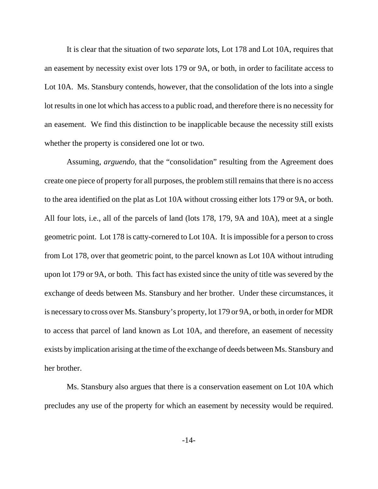It is clear that the situation of two *separate* lots, Lot 178 and Lot 10A, requires that an easement by necessity exist over lots 179 or 9A, or both, in order to facilitate access to Lot 10A. Ms. Stansbury contends, however, that the consolidation of the lots into a single lot results in one lot which has access to a public road, and therefore there is no necessity for an easement. We find this distinction to be inapplicable because the necessity still exists whether the property is considered one lot or two.

Assuming, *arguendo,* that the "consolidation" resulting from the Agreement does create one piece of property for all purposes, the problem still remains that there is no access to the area identified on the plat as Lot 10A without crossing either lots 179 or 9A, or both. All four lots, i.e., all of the parcels of land (lots 178, 179, 9A and 10A), meet at a single geometric point. Lot 178 is catty-cornered to Lot 10A. It is impossible for a person to cross from Lot 178, over that geometric point, to the parcel known as Lot 10A without intruding upon lot 179 or 9A, or both. This fact has existed since the unity of title was severed by the exchange of deeds between Ms. Stansbury and her brother. Under these circumstances, it is necessary to cross over Ms. Stansbury's property, lot 179 or 9A, or both, in order for MDR to access that parcel of land known as Lot 10A, and therefore, an easement of necessity exists by implication arising at the time of the exchange of deeds between Ms. Stansbury and her brother.

Ms. Stansbury also argues that there is a conservation easement on Lot 10A which precludes any use of the property for which an easement by necessity would be required.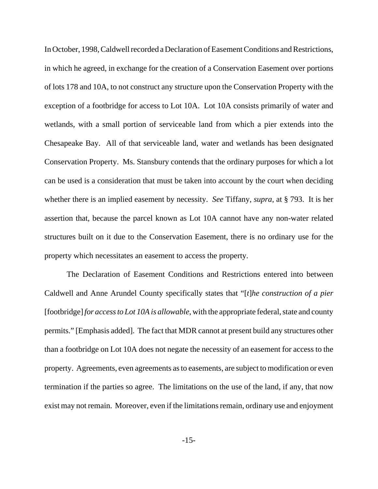In October, 1998, Caldwell recorded a Declaration of Easement Conditions and Restrictions, in which he agreed, in exchange for the creation of a Conservation Easement over portions of lots 178 and 10A, to not construct any structure upon the Conservation Property with the exception of a footbridge for access to Lot 10A. Lot 10A consists primarily of water and wetlands, with a small portion of serviceable land from which a pier extends into the Chesapeake Bay. All of that serviceable land, water and wetlands has been designated Conservation Property. Ms. Stansbury contends that the ordinary purposes for which a lot can be used is a consideration that must be taken into account by the court when deciding whether there is an implied easement by necessity. *See* Tiffany, *supra*, at § 793. It is her assertion that, because the parcel known as Lot 10A cannot have any non-water related structures built on it due to the Conservation Easement, there is no ordinary use for the property which necessitates an easement to access the property.

The Declaration of Easement Conditions and Restrictions entered into between Caldwell and Anne Arundel County specifically states that "[*t*]*he construction of a pier* [footbridge] *for access to Lot 10A is allowable*, with the appropriate federal, state and county permits." [Emphasis added]. The fact that MDR cannot at present build any structures other than a footbridge on Lot 10A does not negate the necessity of an easement for access to the property. Agreements, even agreements as to easements, are subject to modification or even termination if the parties so agree. The limitations on the use of the land, if any, that now exist may not remain. Moreover, even if the limitations remain, ordinary use and enjoyment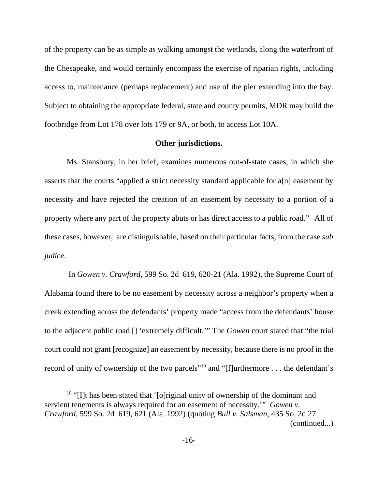of the property can be as simple as walking amongst the wetlands, along the waterfront of the Chesapeake, and would certainly encompass the exercise of riparian rights, including access to, maintenance (perhaps replacement) and use of the pier extending into the bay. Subject to obtaining the appropriate federal, state and county permits, MDR may build the footbridge from Lot 178 over lots 179 or 9A, or both, to access Lot 10A.

### **Other jurisdictions.**

Ms. Stansbury, in her brief, examines numerous out-of-state cases, in which she asserts that the courts "applied a strict necessity standard applicable for a[n] easement by necessity and have rejected the creation of an easement by necessity to a portion of a property where any part of the property abuts or has direct access to a public road." All of these cases, however, are distinguishable, based on their particular facts, from the case *sub judice*.

 In *Gowen v. Crawford*, 599 So. 2d 619, 620-21 (Ala. 1992), the Supreme Court of Alabama found there to be no easement by necessity across a neighbor's property when a creek extending across the defendants' property made "access from the defendants' house to the adjacent public road [] 'extremely difficult.'" The *Gowen* court stated that "the trial court could not grant [recognize] an easement by necessity, because there is no proof in the record of unity of ownership of the two parcels"<sup>10</sup> and "[f]urthermore . . . the defendant's

<sup>&</sup>lt;sup>10</sup> "[I]t has been stated that '[o]riginal unity of ownership of the dominant and servient tenements is always required for an easement of necessity.'" *Gowen v. Crawford*, 599 So. 2d 619, 621 (Ala. 1992) (quoting *Bull v. Salsman*, 435 So. 2d 27 (continued...)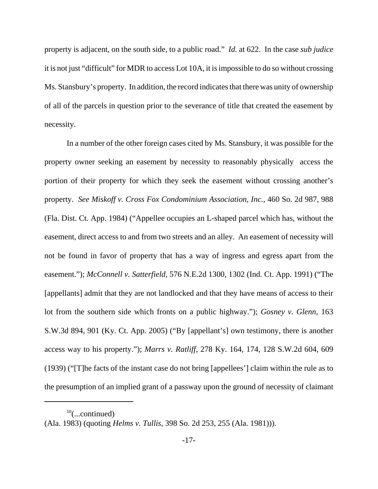property is adjacent, on the south side, to a public road." *Id.* at 622. In the case *sub judice* it is not just "difficult" for MDR to access Lot 10A, it is impossible to do so without crossing Ms. Stansbury's property. In addition, the record indicates that there was unity of ownership of all of the parcels in question prior to the severance of title that created the easement by necessity.

In a number of the other foreign cases cited by Ms. Stansbury, it was possible for the property owner seeking an easement by necessity to reasonably physically access the portion of their property for which they seek the easement without crossing another's property. *See Miskoff v. Cross Fox Condominium Association, Inc.*, 460 So. 2d 987, 988 (Fla. Dist. Ct. App. 1984) ("Appellee occupies an L-shaped parcel which has, without the easement, direct access to and from two streets and an alley. An easement of necessity will not be found in favor of property that has a way of ingress and egress apart from the easement."); *McConnell v. Satterfield*, 576 N.E.2d 1300, 1302 (Ind. Ct. App. 1991) ("The [appellants] admit that they are not landlocked and that they have means of access to their lot from the southern side which fronts on a public highway."); *Gosney v. Glenn*, 163 S.W.3d 894, 901 (Ky. Ct. App. 2005) ("By [appellant's] own testimony, there is another access way to his property."); *Marrs v. Ratliff*, 278 Ky. 164, 174, 128 S.W.2d 604, 609 (1939) ("[T]he facts of the instant case do not bring [appellees'] claim within the rule as to the presumption of an implied grant of a passway upon the ground of necessity of claimant

 $10$ (...continued)

<sup>(</sup>Ala. 1983) (quoting *Helms v. Tullis*, 398 So. 2d 253, 255 (Ala. 1981))).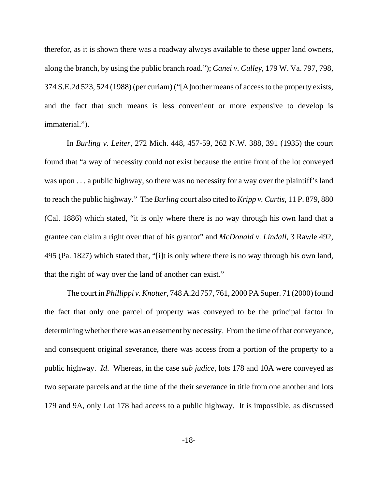therefor, as it is shown there was a roadway always available to these upper land owners, along the branch, by using the public branch road."); *Canei v. Culley*, 179 W. Va. 797, 798, 374 S.E.2d 523, 524 (1988) (per curiam) ("[A]nother means of access to the property exists, and the fact that such means is less convenient or more expensive to develop is immaterial.").

In *Burling v. Leiter*, 272 Mich. 448, 457-59, 262 N.W. 388, 391 (1935) the court found that "a way of necessity could not exist because the entire front of the lot conveyed was upon . . . a public highway, so there was no necessity for a way over the plaintiff's land to reach the public highway." The *Burling* court also cited to *Kripp v. Curtis*, 11 P. 879, 880 (Cal. 1886) which stated, "it is only where there is no way through his own land that a grantee can claim a right over that of his grantor" and *McDonald v. Lindall*, 3 Rawle 492, 495 (Pa. 1827) which stated that, "[i]t is only where there is no way through his own land, that the right of way over the land of another can exist."

The court in *Phillippi v. Knotter*, 748 A.2d 757, 761, 2000 PA Super. 71 (2000) found the fact that only one parcel of property was conveyed to be the principal factor in determining whether there was an easement by necessity. From the time of that conveyance, and consequent original severance, there was access from a portion of the property to a public highway. *Id*. Whereas, in the case *sub judice*, lots 178 and 10A were conveyed as two separate parcels and at the time of the their severance in title from one another and lots 179 and 9A, only Lot 178 had access to a public highway. It is impossible, as discussed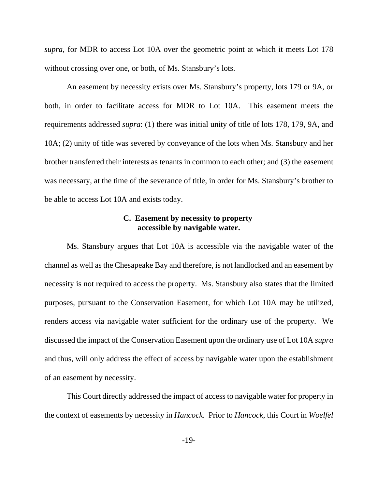*supra*, for MDR to access Lot 10A over the geometric point at which it meets Lot 178 without crossing over one, or both, of Ms. Stansbury's lots.

An easement by necessity exists over Ms. Stansbury's property, lots 179 or 9A, or both, in order to facilitate access for MDR to Lot 10A. This easement meets the requirements addressed *supra*: (1) there was initial unity of title of lots 178, 179, 9A, and 10A; (2) unity of title was severed by conveyance of the lots when Ms. Stansbury and her brother transferred their interests as tenants in common to each other; and (3) the easement was necessary, at the time of the severance of title, in order for Ms. Stansbury's brother to be able to access Lot 10A and exists today.

# **C. Easement by necessity to property accessible by navigable water.**

Ms. Stansbury argues that Lot 10A is accessible via the navigable water of the channel as well as the Chesapeake Bay and therefore, is not landlocked and an easement by necessity is not required to access the property. Ms. Stansbury also states that the limited purposes, pursuant to the Conservation Easement, for which Lot 10A may be utilized, renders access via navigable water sufficient for the ordinary use of the property. We discussed the impact of the Conservation Easement upon the ordinary use of Lot 10A *supra* and thus, will only address the effect of access by navigable water upon the establishment of an easement by necessity.

This Court directly addressed the impact of access to navigable water for property in the context of easements by necessity in *Hancock*. Prior to *Hancock*, this Court in *Woelfel*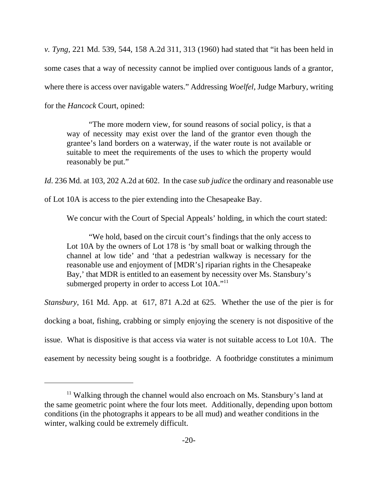*v. Tyng*, 221 Md. 539, 544, 158 A.2d 311, 313 (1960) had stated that "it has been held in some cases that a way of necessity cannot be implied over contiguous lands of a grantor, where there is access over navigable waters." Addressing *Woelfel*, Judge Marbury, writing for the *Hancock* Court, opined:

"The more modern view, for sound reasons of social policy, is that a way of necessity may exist over the land of the grantor even though the grantee's land borders on a waterway, if the water route is not available or suitable to meet the requirements of the uses to which the property would reasonably be put."

*Id*. 236 Md. at 103, 202 A.2d at 602. In the case *sub judice* the ordinary and reasonable use

of Lot 10A is access to the pier extending into the Chesapeake Bay.

We concur with the Court of Special Appeals' holding, in which the court stated:

"We hold, based on the circuit court's findings that the only access to Lot 10A by the owners of Lot 178 is 'by small boat or walking through the channel at low tide' and 'that a pedestrian walkway is necessary for the reasonable use and enjoyment of [MDR's] riparian rights in the Chesapeake Bay,' that MDR is entitled to an easement by necessity over Ms. Stansbury's submerged property in order to access Lot 10A."<sup>11</sup>

*Stansbury*, 161 Md. App. at 617, 871 A.2d at 625. Whether the use of the pier is for docking a boat, fishing, crabbing or simply enjoying the scenery is not dispositive of the issue. What is dispositive is that access via water is not suitable access to Lot 10A. The easement by necessity being sought is a footbridge. A footbridge constitutes a minimum

 $11$  Walking through the channel would also encroach on Ms. Stansbury's land at the same geometric point where the four lots meet. Additionally, depending upon bottom conditions (in the photographs it appears to be all mud) and weather conditions in the winter, walking could be extremely difficult.